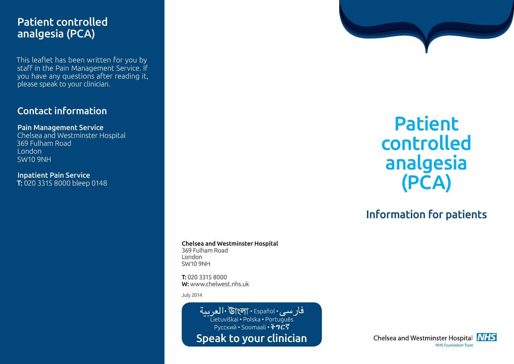## Patient controlled analgesia (PCA)

This leaflet has been written for you by staff in the Pain Management Service. If you have any questions after reading it, please speak to your clinician.

#### Contact information

Pain Management Service Chelsea and Westminster Hospital 369 Fulham Road London SW10 9NH

Inpatient Pain Service T: 020 3315 8000 bleep 0148

> Chelsea and Westminster Hospital 369 Fulham Road London

SW10 9NH

T: 020 3315 8000 W: www.chelwest.nhs.uk

July 2014

فارسي· Español • العربية Lietuviškai • Polska • Português  $\overline{P}$ Русский • Soomaali • ትግርኛ Speak to your clinician

# Patient controlled analgesia (PCA)

## Information for patients